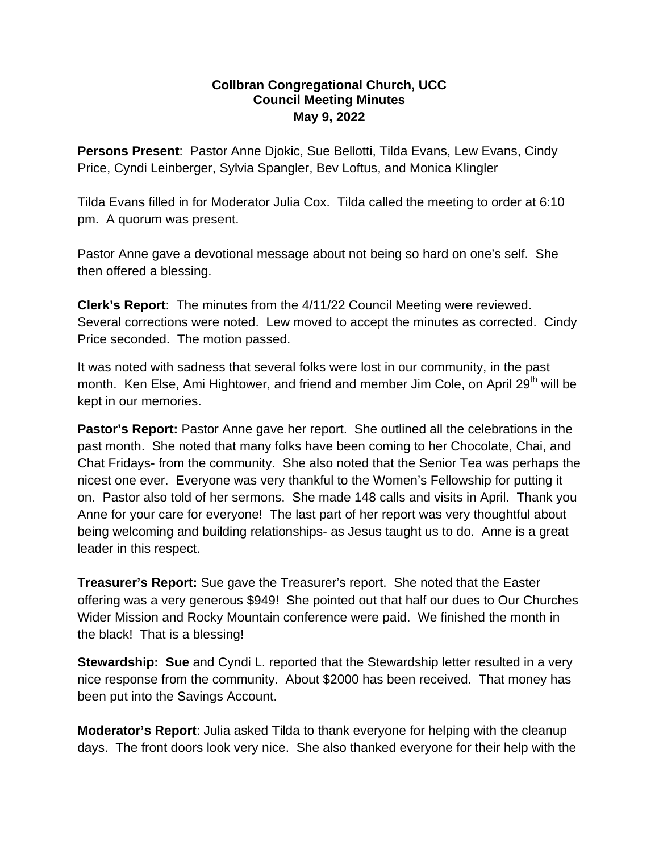## **Collbran Congregational Church, UCC Council Meeting Minutes May 9, 2022**

**Persons Present**: Pastor Anne Djokic, Sue Bellotti, Tilda Evans, Lew Evans, Cindy Price, Cyndi Leinberger, Sylvia Spangler, Bev Loftus, and Monica Klingler

Tilda Evans filled in for Moderator Julia Cox. Tilda called the meeting to order at 6:10 pm. A quorum was present.

Pastor Anne gave a devotional message about not being so hard on one's self. She then offered a blessing.

**Clerk's Report**: The minutes from the 4/11/22 Council Meeting were reviewed. Several corrections were noted. Lew moved to accept the minutes as corrected. Cindy Price seconded. The motion passed.

It was noted with sadness that several folks were lost in our community, in the past month. Ken Else, Ami Hightower, and friend and member Jim Cole, on April 29<sup>th</sup> will be kept in our memories.

**Pastor's Report:** Pastor Anne gave her report. She outlined all the celebrations in the past month. She noted that many folks have been coming to her Chocolate, Chai, and Chat Fridays- from the community. She also noted that the Senior Tea was perhaps the nicest one ever. Everyone was very thankful to the Women's Fellowship for putting it on. Pastor also told of her sermons. She made 148 calls and visits in April. Thank you Anne for your care for everyone! The last part of her report was very thoughtful about being welcoming and building relationships- as Jesus taught us to do. Anne is a great leader in this respect.

**Treasurer's Report:** Sue gave the Treasurer's report. She noted that the Easter offering was a very generous \$949! She pointed out that half our dues to Our Churches Wider Mission and Rocky Mountain conference were paid. We finished the month in the black! That is a blessing!

**Stewardship: Sue** and Cyndi L. reported that the Stewardship letter resulted in a very nice response from the community. About \$2000 has been received. That money has been put into the Savings Account.

**Moderator's Report**: Julia asked Tilda to thank everyone for helping with the cleanup days. The front doors look very nice. She also thanked everyone for their help with the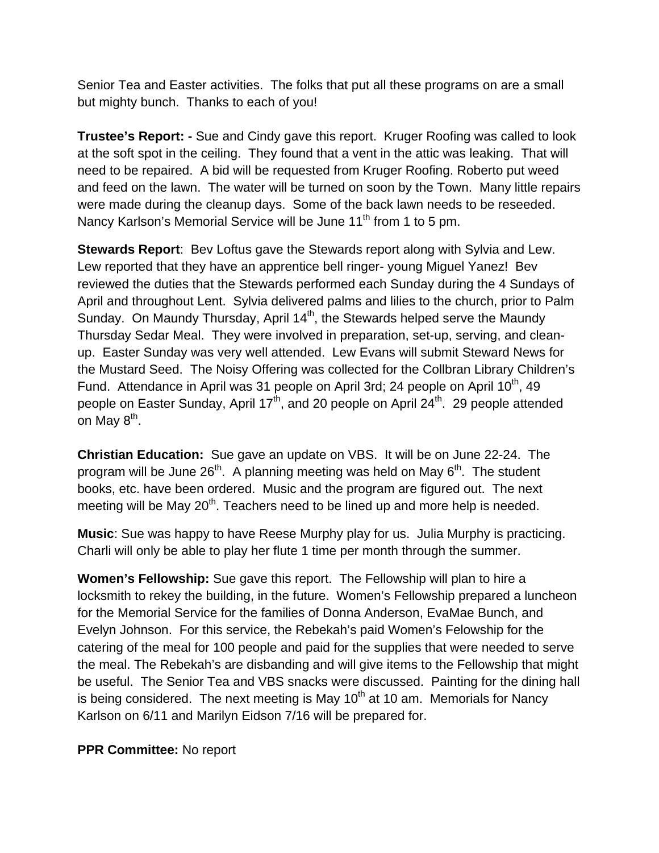Senior Tea and Easter activities. The folks that put all these programs on are a small but mighty bunch. Thanks to each of you!

**Trustee's Report: -** Sue and Cindy gave this report. Kruger Roofing was called to look at the soft spot in the ceiling. They found that a vent in the attic was leaking. That will need to be repaired. A bid will be requested from Kruger Roofing. Roberto put weed and feed on the lawn. The water will be turned on soon by the Town. Many little repairs were made during the cleanup days. Some of the back lawn needs to be reseeded. Nancy Karlson's Memorial Service will be June 11<sup>th</sup> from 1 to 5 pm.

**Stewards Report**: Bev Loftus gave the Stewards report along with Sylvia and Lew. Lew reported that they have an apprentice bell ringer- young Miguel Yanez! Bev reviewed the duties that the Stewards performed each Sunday during the 4 Sundays of April and throughout Lent. Sylvia delivered palms and lilies to the church, prior to Palm Sunday. On Maundy Thursday, April  $14<sup>th</sup>$ , the Stewards helped serve the Maundy Thursday Sedar Meal. They were involved in preparation, set-up, serving, and cleanup. Easter Sunday was very well attended. Lew Evans will submit Steward News for the Mustard Seed. The Noisy Offering was collected for the Collbran Library Children's Fund. Attendance in April was 31 people on April 3rd; 24 people on April  $10^{th}$ , 49 people on Easter Sunday, April  $17<sup>th</sup>$ , and 20 people on April 24<sup>th</sup>. 29 people attended on May  $8<sup>th</sup>$ .

**Christian Education:** Sue gave an update on VBS. It will be on June 22-24. The program will be June  $26<sup>th</sup>$ . A planning meeting was held on May  $6<sup>th</sup>$ . The student books, etc. have been ordered. Music and the program are figured out. The next meeting will be May 20<sup>th</sup>. Teachers need to be lined up and more help is needed.

**Music**: Sue was happy to have Reese Murphy play for us. Julia Murphy is practicing. Charli will only be able to play her flute 1 time per month through the summer.

**Women's Fellowship:** Sue gave this report. The Fellowship will plan to hire a locksmith to rekey the building, in the future. Women's Fellowship prepared a luncheon for the Memorial Service for the families of Donna Anderson, EvaMae Bunch, and Evelyn Johnson. For this service, the Rebekah's paid Women's Felowship for the catering of the meal for 100 people and paid for the supplies that were needed to serve the meal. The Rebekah's are disbanding and will give items to the Fellowship that might be useful. The Senior Tea and VBS snacks were discussed. Painting for the dining hall is being considered. The next meeting is May  $10<sup>th</sup>$  at 10 am. Memorials for Nancy Karlson on 6/11 and Marilyn Eidson 7/16 will be prepared for.

## **PPR Committee:** No report